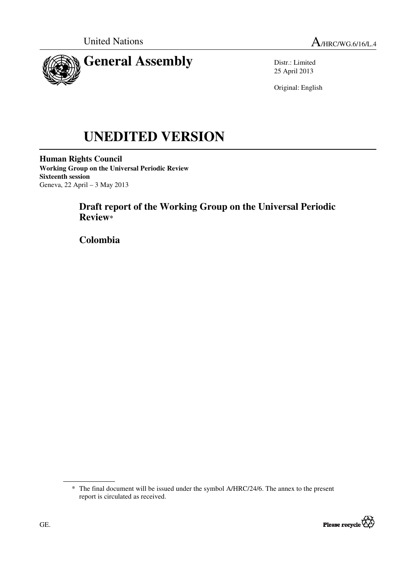

Distr.: Limited 25 April 2013

Original: English

# **UNEDITED VERSION**

**Human Rights Council Working Group on the Universal Periodic Review Sixteenth session**  Geneva, 22 April – 3 May 2013

# **Draft report of the Working Group on the Universal Periodic Review\***

 **Colombia** 

<sup>\*</sup> The final document will be issued under the symbol A/HRC/24/6. The annex to the present report is circulated as received.

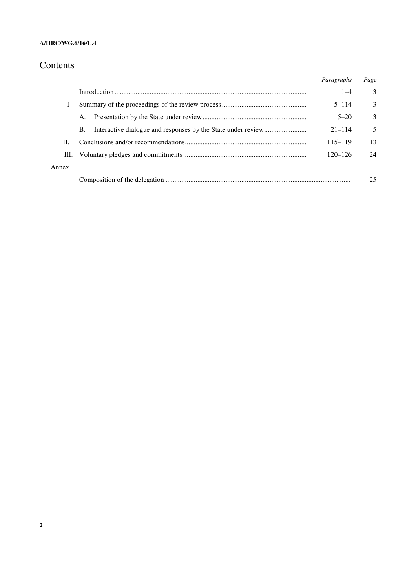### **A/HRC/WG.6/16/L.4**

# Contents

|       |    | Paragraphs  | Page |
|-------|----|-------------|------|
|       |    | $1 - 4$     | 3    |
|       |    | $5 - 114$   | 3    |
|       | Α. | $5 - 20$    | 3    |
|       | В. | $21 - 114$  | 5    |
| П.    |    | $115 - 119$ | 13   |
| Ш.    |    | $120 - 126$ | 24   |
| Annex |    |             |      |
|       |    |             | 25   |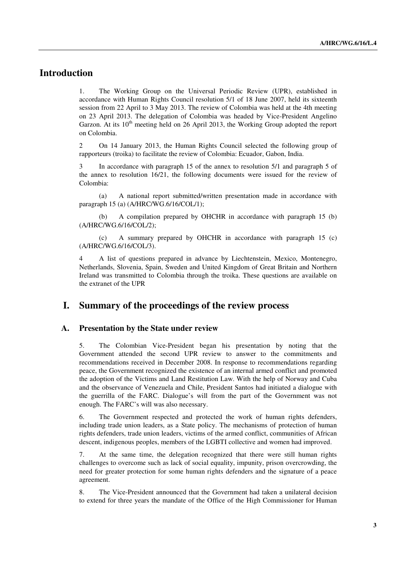# **Introduction**

1. The Working Group on the Universal Periodic Review (UPR), established in accordance with Human Rights Council resolution 5/1 of 18 June 2007, held its sixteenth session from 22 April to 3 May 2013. The review of Colombia was held at the 4th meeting on 23 April 2013. The delegation of Colombia was headed by Vice-President Angelino Garzon. At its  $10<sup>th</sup>$  meeting held on 26 April 2013, the Working Group adopted the report on Colombia.

2 On 14 January 2013, the Human Rights Council selected the following group of rapporteurs (troika) to facilitate the review of Colombia: Ecuador, Gabon, India.

3 In accordance with paragraph 15 of the annex to resolution 5/1 and paragraph 5 of the annex to resolution 16/21, the following documents were issued for the review of Colombia:

 (a) A national report submitted/written presentation made in accordance with paragraph 15 (a) (A/HRC/WG.6/16/COL/1);

 (b) A compilation prepared by OHCHR in accordance with paragraph 15 (b) (A/HRC/WG.6/16/COL/2);

 (c) A summary prepared by OHCHR in accordance with paragraph 15 (c) (A/HRC/WG.6/16/COL/3).

4 A list of questions prepared in advance by Liechtenstein, Mexico, Montenegro, Netherlands, Slovenia, Spain, Sweden and United Kingdom of Great Britain and Northern Ireland was transmitted to Colombia through the troika. These questions are available on the extranet of the UPR

## **I. Summary of the proceedings of the review process**

#### **A. Presentation by the State under review**

5. The Colombian Vice-President began his presentation by noting that the Government attended the second UPR review to answer to the commitments and recommendations received in December 2008. In response to recommendations regarding peace, the Government recognized the existence of an internal armed conflict and promoted the adoption of the Victims and Land Restitution Law. With the help of Norway and Cuba and the observance of Venezuela and Chile, President Santos had initiated a dialogue with the guerrilla of the FARC. Dialogue's will from the part of the Government was not enough. The FARC's will was also necessary.

6. The Government respected and protected the work of human rights defenders, including trade union leaders, as a State policy. The mechanisms of protection of human rights defenders, trade union leaders, victims of the armed conflict, communities of African descent, indigenous peoples, members of the LGBTI collective and women had improved.

7. At the same time, the delegation recognized that there were still human rights challenges to overcome such as lack of social equality, impunity, prison overcrowding, the need for greater protection for some human rights defenders and the signature of a peace agreement.

8. The Vice-President announced that the Government had taken a unilateral decision to extend for three years the mandate of the Office of the High Commissioner for Human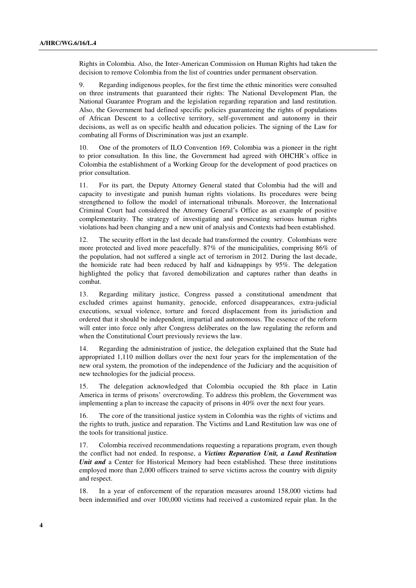Rights in Colombia. Also, the Inter-American Commission on Human Rights had taken the decision to remove Colombia from the list of countries under permanent observation.

9. Regarding indigenous peoples, for the first time the ethnic minorities were consulted on three instruments that guaranteed their rights: The National Development Plan, the National Guarantee Program and the legislation regarding reparation and land restitution. Also, the Government had defined specific policies guaranteeing the rights of populations of African Descent to a collective territory, self-government and autonomy in their decisions, as well as on specific health and education policies. The signing of the Law for combating all Forms of Discrimination was just an example.

10. One of the promoters of ILO Convention 169, Colombia was a pioneer in the right to prior consultation. In this line, the Government had agreed with OHCHR's office in Colombia the establishment of a Working Group for the development of good practices on prior consultation.

11. For its part, the Deputy Attorney General stated that Colombia had the will and capacity to investigate and punish human rights violations. Its procedures were being strengthened to follow the model of international tribunals. Moreover, the International Criminal Court had considered the Attorney General's Office as an example of positive complementarity. The strategy of investigating and prosecuting serious human rights violations had been changing and a new unit of analysis and Contexts had been established.

12. The security effort in the last decade had transformed the country. Colombians were more protected and lived more peacefully. 87% of the municipalities, comprising 86% of the population, had not suffered a single act of terrorism in 2012. During the last decade, the homicide rate had been reduced by half and kidnappings by 95%. The delegation highlighted the policy that favored demobilization and captures rather than deaths in combat.

13. Regarding military justice, Congress passed a constitutional amendment that excluded crimes against humanity, genocide, enforced disappearances, extra-judicial executions, sexual violence, torture and forced displacement from its jurisdiction and ordered that it should be independent, impartial and autonomous. The essence of the reform will enter into force only after Congress deliberates on the law regulating the reform and when the Constitutional Court previously reviews the law.

14. Regarding the administration of justice, the delegation explained that the State had appropriated 1,110 million dollars over the next four years for the implementation of the new oral system, the promotion of the independence of the Judiciary and the acquisition of new technologies for the judicial process.

15. The delegation acknowledged that Colombia occupied the 8th place in Latin America in terms of prisons' overcrowding. To address this problem, the Government was implementing a plan to increase the capacity of prisons in 40% over the next four years.

16. The core of the transitional justice system in Colombia was the rights of victims and the rights to truth, justice and reparation. The Victims and Land Restitution law was one of the tools for transitional justice.

17. Colombia received recommendations requesting a reparations program, even though the conflict had not ended. In response, a *Victims Reparation Unit, a Land Restitution Unit and* a Center for Historical Memory had been established. These three institutions employed more than 2,000 officers trained to serve victims across the country with dignity and respect.

18. In a year of enforcement of the reparation measures around 158,000 victims had been indemnified and over 100,000 victims had received a customized repair plan. In the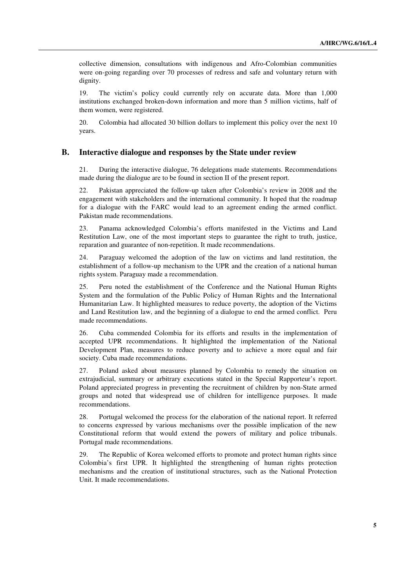collective dimension, consultations with indigenous and Afro-Colombian communities were on-going regarding over 70 processes of redress and safe and voluntary return with dignity.

19. The victim's policy could currently rely on accurate data. More than 1,000 institutions exchanged broken-down information and more than 5 million victims, half of them women, were registered.

20. Colombia had allocated 30 billion dollars to implement this policy over the next 10 years.

#### **B. Interactive dialogue and responses by the State under review**

21. During the interactive dialogue, 76 delegations made statements. Recommendations made during the dialogue are to be found in section II of the present report.

22. Pakistan appreciated the follow-up taken after Colombia's review in 2008 and the engagement with stakeholders and the international community. It hoped that the roadmap for a dialogue with the FARC would lead to an agreement ending the armed conflict. Pakistan made recommendations.

23. Panama acknowledged Colombia's efforts manifested in the Victims and Land Restitution Law, one of the most important steps to guarantee the right to truth, justice, reparation and guarantee of non-repetition. It made recommendations.

24. Paraguay welcomed the adoption of the law on victims and land restitution, the establishment of a follow-up mechanism to the UPR and the creation of a national human rights system. Paraguay made a recommendation.

25. Peru noted the establishment of the Conference and the National Human Rights System and the formulation of the Public Policy of Human Rights and the International Humanitarian Law. It highlighted measures to reduce poverty, the adoption of the Victims and Land Restitution law, and the beginning of a dialogue to end the armed conflict. Peru made recommendations.

26. Cuba commended Colombia for its efforts and results in the implementation of accepted UPR recommendations. It highlighted the implementation of the National Development Plan, measures to reduce poverty and to achieve a more equal and fair society. Cuba made recommendations.

27. Poland asked about measures planned by Colombia to remedy the situation on extrajudicial, summary or arbitrary executions stated in the Special Rapporteur's report. Poland appreciated progress in preventing the recruitment of children by non-State armed groups and noted that widespread use of children for intelligence purposes. It made recommendations.

28. Portugal welcomed the process for the elaboration of the national report. It referred to concerns expressed by various mechanisms over the possible implication of the new Constitutional reform that would extend the powers of military and police tribunals. Portugal made recommendations.

29. The Republic of Korea welcomed efforts to promote and protect human rights since Colombia's first UPR. It highlighted the strengthening of human rights protection mechanisms and the creation of institutional structures, such as the National Protection Unit. It made recommendations.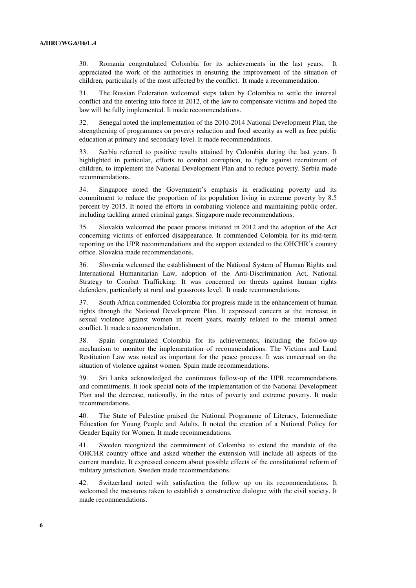30. Romania congratulated Colombia for its achievements in the last years. It appreciated the work of the authorities in ensuring the improvement of the situation of children, particularly of the most affected by the conflict. It made a recommendation.

31. The Russian Federation welcomed steps taken by Colombia to settle the internal conflict and the entering into force in 2012, of the law to compensate victims and hoped the law will be fully implemented. It made recommendations.

32. Senegal noted the implementation of the 2010-2014 National Development Plan, the strengthening of programmes on poverty reduction and food security as well as free public education at primary and secondary level. It made recommendations.

33. Serbia referred to positive results attained by Colombia during the last years. It highlighted in particular, efforts to combat corruption, to fight against recruitment of children, to implement the National Development Plan and to reduce poverty. Serbia made recommendations.

34. Singapore noted the Government's emphasis in eradicating poverty and its commitment to reduce the proportion of its population living in extreme poverty by 8.5 percent by 2015. It noted the efforts in combating violence and maintaining public order, including tackling armed criminal gangs. Singapore made recommendations.

35. Slovakia welcomed the peace process initiated in 2012 and the adoption of the Act concerning victims of enforced disappearance. It commended Colombia for its mid-term reporting on the UPR recommendations and the support extended to the OHCHR's country office. Slovakia made recommendations.

36. Slovenia welcomed the establishment of the National System of Human Rights and International Humanitarian Law, adoption of the Anti-Discrimination Act, National Strategy to Combat Trafficking. It was concerned on threats against human rights defenders, particularly at rural and grassroots level. It made recommendations.

37. South Africa commended Colombia for progress made in the enhancement of human rights through the National Development Plan. It expressed concern at the increase in sexual violence against women in recent years, mainly related to the internal armed conflict. It made a recommendation.

38. Spain congratulated Colombia for its achievements, including the follow-up mechanism to monitor the implementation of recommendations. The Victims and Land Restitution Law was noted as important for the peace process. It was concerned on the situation of violence against women. Spain made recommendations.

39. Sri Lanka acknowledged the continuous follow-up of the UPR recommendations and commitments. It took special note of the implementation of the National Development Plan and the decrease, nationally, in the rates of poverty and extreme poverty. It made recommendations.

40. The State of Palestine praised the National Programme of Literacy, Intermediate Education for Young People and Adults. It noted the creation of a National Policy for Gender Equity for Women. It made recommendations.

41. Sweden recognized the commitment of Colombia to extend the mandate of the OHCHR country office and asked whether the extension will include all aspects of the current mandate. It expressed concern about possible effects of the constitutional reform of military jurisdiction. Sweden made recommendations.

42. Switzerland noted with satisfaction the follow up on its recommendations. It welcomed the measures taken to establish a constructive dialogue with the civil society. It made recommendations.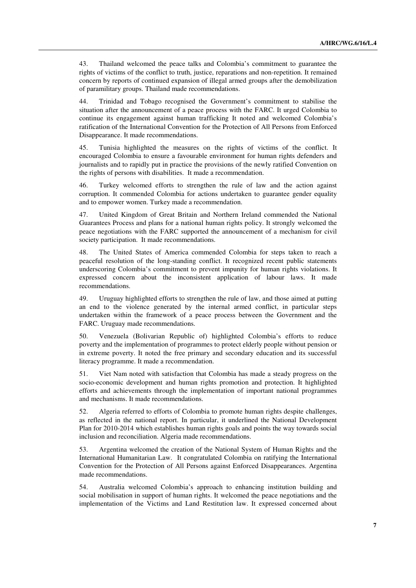43. Thailand welcomed the peace talks and Colombia's commitment to guarantee the rights of victims of the conflict to truth, justice, reparations and non-repetition. It remained concern by reports of continued expansion of illegal armed groups after the demobilization of paramilitary groups. Thailand made recommendations.

44. Trinidad and Tobago recognised the Government's commitment to stabilise the situation after the announcement of a peace process with the FARC. It urged Colombia to continue its engagement against human trafficking It noted and welcomed Colombia's ratification of the International Convention for the Protection of All Persons from Enforced Disappearance. It made recommendations.

45. Tunisia highlighted the measures on the rights of victims of the conflict. It encouraged Colombia to ensure a favourable environment for human rights defenders and journalists and to rapidly put in practice the provisions of the newly ratified Convention on the rights of persons with disabilities. It made a recommendation.

46. Turkey welcomed efforts to strengthen the rule of law and the action against corruption. It commended Colombia for actions undertaken to guarantee gender equality and to empower women. Turkey made a recommendation.

47. United Kingdom of Great Britain and Northern Ireland commended the National Guarantees Process and plans for a national human rights policy. It strongly welcomed the peace negotiations with the FARC supported the announcement of a mechanism for civil society participation. It made recommendations.

48. The United States of America commended Colombia for steps taken to reach a peaceful resolution of the long-standing conflict. It recognized recent public statements underscoring Colombia's commitment to prevent impunity for human rights violations. It expressed concern about the inconsistent application of labour laws. It made recommendations.

49. Uruguay highlighted efforts to strengthen the rule of law, and those aimed at putting an end to the violence generated by the internal armed conflict, in particular steps undertaken within the framework of a peace process between the Government and the FARC. Uruguay made recommendations.

50. Venezuela (Bolivarian Republic of) highlighted Colombia's efforts to reduce poverty and the implementation of programmes to protect elderly people without pension or in extreme poverty. It noted the free primary and secondary education and its successful literacy programme. It made a recommendation.

51. Viet Nam noted with satisfaction that Colombia has made a steady progress on the socio-economic development and human rights promotion and protection. It highlighted efforts and achievements through the implementation of important national programmes and mechanisms. It made recommendations.

52. Algeria referred to efforts of Colombia to promote human rights despite challenges, as reflected in the national report. In particular, it underlined the National Development Plan for 2010-2014 which establishes human rights goals and points the way towards social inclusion and reconciliation. Algeria made recommendations.

53. Argentina welcomed the creation of the National System of Human Rights and the International Humanitarian Law. It congratulated Colombia on ratifying the International Convention for the Protection of All Persons against Enforced Disappearances. Argentina made recommendations.

54. Australia welcomed Colombia's approach to enhancing institution building and social mobilisation in support of human rights. It welcomed the peace negotiations and the implementation of the Victims and Land Restitution law. It expressed concerned about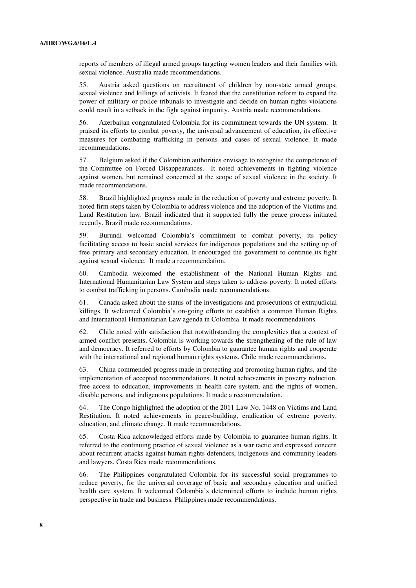reports of members of illegal armed groups targeting women leaders and their families with sexual violence. Australia made recommendations.

55. Austria asked questions on recruitment of children by non-state armed groups, sexual violence and killings of activists. It feared that the constitution reform to expand the power of military or police tribunals to investigate and decide on human rights violations could result in a setback in the fight against impunity. Austria made recommendations.

56. Azerbaijan congratulated Colombia for its commitment towards the UN system. It praised its efforts to combat poverty, the universal advancement of education, its effective measures for combating trafficking in persons and cases of sexual violence. It made recommendations.

57. Belgium asked if the Colombian authorities envisage to recognise the competence of the Committee on Forced Disappearances. It noted achievements in fighting violence against women, but remained concerned at the scope of sexual violence in the society. It made recommendations.

58. Brazil highlighted progress made in the reduction of poverty and extreme poverty. It noted firm steps taken by Colombia to address violence and the adoption of the Victims and Land Restitution law. Brazil indicated that it supported fully the peace process initiated recently. Brazil made recommendations.

59. Burundi welcomed Colombia's commitment to combat poverty, its policy facilitating access to basic social services for indigenous populations and the setting up of free primary and secondary education. It encouraged the government to continue its fight against sexual violence. It made a recommendation.

60. Cambodia welcomed the establishment of the National Human Rights and International Humanitarian Law System and steps taken to address poverty. It noted efforts to combat trafficking in persons. Cambodia made recommendations.

61. Canada asked about the status of the investigations and prosecutions of extrajudicial killings. It welcomed Colombia's on-going efforts to establish a common Human Rights and International Humanitarian Law agenda in Colombia. It made recommendations.

62. Chile noted with satisfaction that notwithstanding the complexities that a context of armed conflict presents, Colombia is working towards the strengthening of the rule of law and democracy. It referred to efforts by Colombia to guarantee human rights and cooperate with the international and regional human rights systems. Chile made recommendations.

63. China commended progress made in protecting and promoting human rights, and the implementation of accepted recommendations. It noted achievements in poverty reduction, free access to education, improvements in health care system, and the rights of women, disable persons, and indigenous populations. It made a recommendation.

64. The Congo highlighted the adoption of the 2011 Law No. 1448 on Victims and Land Restitution. It noted achievements in peace-building, eradication of extreme poverty, education, and climate change. It made recommendations.

65. Costa Rica acknowledged efforts made by Colombia to guarantee human rights. It referred to the continuing practice of sexual violence as a war tactic and expressed concern about recurrent attacks against human rights defenders, indigenous and community leaders and lawyers. Costa Rica made recommendations.

66. The Philippines congratulated Colombia for its successful social programmes to reduce poverty, for the universal coverage of basic and secondary education and unified health care system. It welcomed Colombia's determined efforts to include human rights perspective in trade and business. Philippines made recommendations.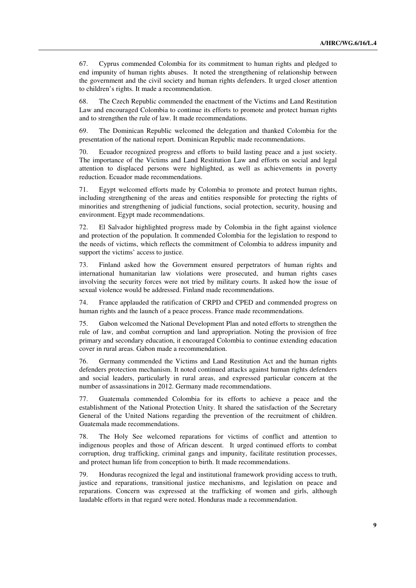67. Cyprus commended Colombia for its commitment to human rights and pledged to end impunity of human rights abuses. It noted the strengthening of relationship between the government and the civil society and human rights defenders. It urged closer attention to children's rights. It made a recommendation.

68. The Czech Republic commended the enactment of the Victims and Land Restitution Law and encouraged Colombia to continue its efforts to promote and protect human rights and to strengthen the rule of law. It made recommendations.

69. The Dominican Republic welcomed the delegation and thanked Colombia for the presentation of the national report. Dominican Republic made recommendations.

70. Ecuador recognized progress and efforts to build lasting peace and a just society. The importance of the Victims and Land Restitution Law and efforts on social and legal attention to displaced persons were highlighted, as well as achievements in poverty reduction. Ecuador made recommendations.

71. Egypt welcomed efforts made by Colombia to promote and protect human rights, including strengthening of the areas and entities responsible for protecting the rights of minorities and strengthening of judicial functions, social protection, security, housing and environment. Egypt made recommendations.

72. El Salvador highlighted progress made by Colombia in the fight against violence and protection of the population. It commended Colombia for the legislation to respond to the needs of victims, which reflects the commitment of Colombia to address impunity and support the victims' access to justice.

73. Finland asked how the Government ensured perpetrators of human rights and international humanitarian law violations were prosecuted, and human rights cases involving the security forces were not tried by military courts. It asked how the issue of sexual violence would be addressed. Finland made recommendations.

74. France applauded the ratification of CRPD and CPED and commended progress on human rights and the launch of a peace process. France made recommendations.

75. Gabon welcomed the National Development Plan and noted efforts to strengthen the rule of law, and combat corruption and land appropriation. Noting the provision of free primary and secondary education, it encouraged Colombia to continue extending education cover in rural areas. Gabon made a recommendation.

76. Germany commended the Victims and Land Restitution Act and the human rights defenders protection mechanism. It noted continued attacks against human rights defenders and social leaders, particularly in rural areas, and expressed particular concern at the number of assassinations in 2012. Germany made recommendations.

77. Guatemala commended Colombia for its efforts to achieve a peace and the establishment of the National Protection Unity. It shared the satisfaction of the Secretary General of the United Nations regarding the prevention of the recruitment of children. Guatemala made recommendations.

78. The Holy See welcomed reparations for victims of conflict and attention to indigenous peoples and those of African descent. It urged continued efforts to combat corruption, drug trafficking, criminal gangs and impunity, facilitate restitution processes, and protect human life from conception to birth. It made recommendations.

79. Honduras recognized the legal and institutional framework providing access to truth, justice and reparations, transitional justice mechanisms, and legislation on peace and reparations. Concern was expressed at the trafficking of women and girls, although laudable efforts in that regard were noted. Honduras made a recommendation.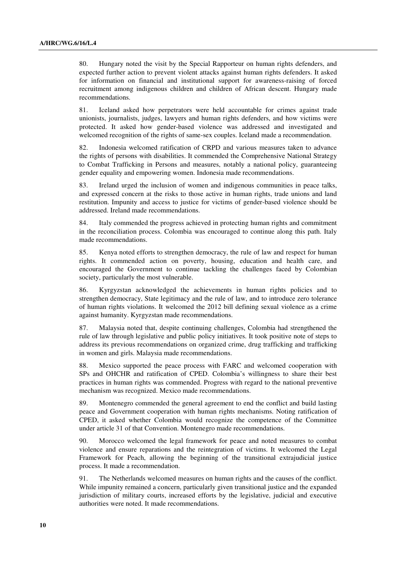80. Hungary noted the visit by the Special Rapporteur on human rights defenders, and expected further action to prevent violent attacks against human rights defenders. It asked for information on financial and institutional support for awareness-raising of forced recruitment among indigenous children and children of African descent. Hungary made recommendations.

81. Iceland asked how perpetrators were held accountable for crimes against trade unionists, journalists, judges, lawyers and human rights defenders, and how victims were protected. It asked how gender-based violence was addressed and investigated and welcomed recognition of the rights of same-sex couples. Iceland made a recommendation.

82. Indonesia welcomed ratification of CRPD and various measures taken to advance the rights of persons with disabilities. It commended the Comprehensive National Strategy to Combat Trafficking in Persons and measures, notably a national policy, guaranteeing gender equality and empowering women. Indonesia made recommendations.

83. Ireland urged the inclusion of women and indigenous communities in peace talks, and expressed concern at the risks to those active in human rights, trade unions and land restitution. Impunity and access to justice for victims of gender-based violence should be addressed. Ireland made recommendations.

84. Italy commended the progress achieved in protecting human rights and commitment in the reconciliation process. Colombia was encouraged to continue along this path. Italy made recommendations.

85. Kenya noted efforts to strengthen democracy, the rule of law and respect for human rights. It commended action on poverty, housing, education and health care, and encouraged the Government to continue tackling the challenges faced by Colombian society, particularly the most vulnerable.

86. Kyrgyzstan acknowledged the achievements in human rights policies and to strengthen democracy, State legitimacy and the rule of law, and to introduce zero tolerance of human rights violations. It welcomed the 2012 bill defining sexual violence as a crime against humanity. Kyrgyzstan made recommendations.

87. Malaysia noted that, despite continuing challenges, Colombia had strengthened the rule of law through legislative and public policy initiatives. It took positive note of steps to address its previous recommendations on organized crime, drug trafficking and trafficking in women and girls. Malaysia made recommendations.

88. Mexico supported the peace process with FARC and welcomed cooperation with SPs and OHCHR and ratification of CPED. Colombia's willingness to share their best practices in human rights was commended. Progress with regard to the national preventive mechanism was recognized. Mexico made recommendations.

89. Montenegro commended the general agreement to end the conflict and build lasting peace and Government cooperation with human rights mechanisms. Noting ratification of CPED, it asked whether Colombia would recognize the competence of the Committee under article 31 of that Convention. Montenegro made recommendations.

90. Morocco welcomed the legal framework for peace and noted measures to combat violence and ensure reparations and the reintegration of victims. It welcomed the Legal Framework for Peach, allowing the beginning of the transitional extrajudicial justice process. It made a recommendation.

91. The Netherlands welcomed measures on human rights and the causes of the conflict. While impunity remained a concern, particularly given transitional justice and the expanded jurisdiction of military courts, increased efforts by the legislative, judicial and executive authorities were noted. It made recommendations.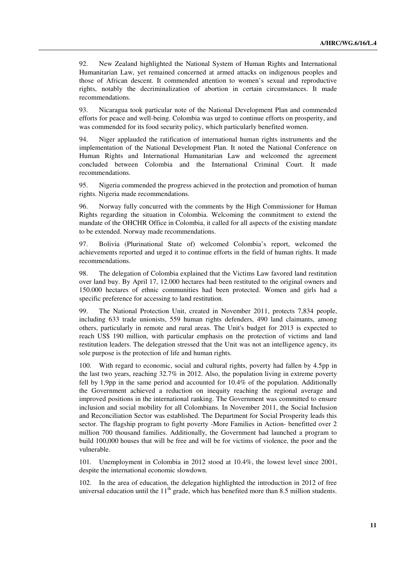92. New Zealand highlighted the National System of Human Rights and International Humanitarian Law, yet remained concerned at armed attacks on indigenous peoples and those of African descent. It commended attention to women's sexual and reproductive rights, notably the decriminalization of abortion in certain circumstances. It made recommendations.

93. Nicaragua took particular note of the National Development Plan and commended efforts for peace and well-being. Colombia was urged to continue efforts on prosperity, and was commended for its food security policy, which particularly benefited women.

94. Niger applauded the ratification of international human rights instruments and the implementation of the National Development Plan. It noted the National Conference on Human Rights and International Humanitarian Law and welcomed the agreement concluded between Colombia and the International Criminal Court. It made recommendations.

95. Nigeria commended the progress achieved in the protection and promotion of human rights. Nigeria made recommendations.

96. Norway fully concurred with the comments by the High Commissioner for Human Rights regarding the situation in Colombia. Welcoming the commitment to extend the mandate of the OHCHR Office in Colombia, it called for all aspects of the existing mandate to be extended. Norway made recommendations.

97. Bolivia (Plurinational State of) welcomed Colombia's report, welcomed the achievements reported and urged it to continue efforts in the field of human rights. It made recommendations.

98. The delegation of Colombia explained that the Victims Law favored land restitution over land buy. By April 17, 12.000 hectares had been restituted to the original owners and 150.000 hectares of ethnic communities had been protected. Women and girls had a specific preference for accessing to land restitution.

99. The National Protection Unit, created in November 2011, protects 7,834 people, including 633 trade unionists, 559 human rights defenders, 490 land claimants, among others, particularly in remote and rural areas. The Unit's budget for 2013 is expected to reach US\$ 190 million, with particular emphasis on the protection of victims and land restitution leaders. The delegation stressed that the Unit was not an intelligence agency, its sole purpose is the protection of life and human rights.

100. With regard to economic, social and cultural rights, poverty had fallen by 4.5pp in the last two years, reaching 32.7% in 2012. Also, the population living in extreme poverty fell by 1,9pp in the same period and accounted for 10.4% of the population. Additionally the Government achieved a reduction on inequity reaching the regional average and improved positions in the international ranking. The Government was committed to ensure inclusion and social mobility for all Colombians. In November 2011, the Social Inclusion and Reconciliation Sector was established. The Department for Social Prosperity leads this sector. The flagship program to fight poverty -More Families in Action- benefitted over 2 million 700 thousand families. Additionally, the Government had launched a program to build 100,000 houses that will be free and will be for victims of violence, the poor and the vulnerable.

101. Unemployment in Colombia in 2012 stood at 10.4%, the lowest level since 2001, despite the international economic slowdown.

102. In the area of education, the delegation highlighted the introduction in 2012 of free universal education until the  $11<sup>th</sup>$  grade, which has benefited more than 8.5 million students.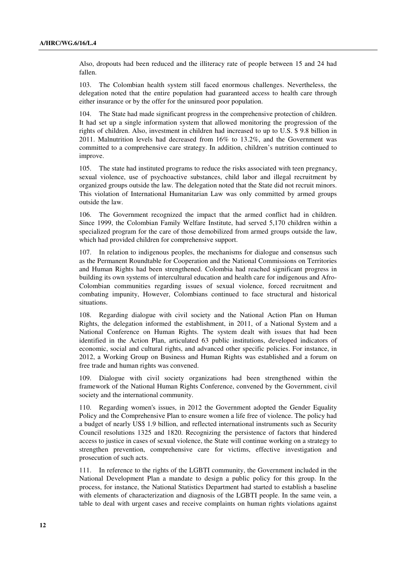Also, dropouts had been reduced and the illiteracy rate of people between 15 and 24 had fallen.

103. The Colombian health system still faced enormous challenges. Nevertheless, the delegation noted that the entire population had guaranteed access to health care through either insurance or by the offer for the uninsured poor population.

104. The State had made significant progress in the comprehensive protection of children. It had set up a single information system that allowed monitoring the progression of the rights of children. Also, investment in children had increased to up to U.S. \$ 9.8 billion in 2011. Malnutrition levels had decreased from 16% to 13.2%, and the Government was committed to a comprehensive care strategy. In addition, children's nutrition continued to improve.

105. The state had instituted programs to reduce the risks associated with teen pregnancy, sexual violence, use of psychoactive substances, child labor and illegal recruitment by organized groups outside the law. The delegation noted that the State did not recruit minors. This violation of International Humanitarian Law was only committed by armed groups outside the law.

106. The Government recognized the impact that the armed conflict had in children. Since 1999, the Colombian Family Welfare Institute, had served 5,170 children within a specialized program for the care of those demobilized from armed groups outside the law, which had provided children for comprehensive support.

107. In relation to indigenous peoples, the mechanisms for dialogue and consensus such as the Permanent Roundtable for Cooperation and the National Commissions on Territories and Human Rights had been strengthened. Colombia had reached significant progress in building its own systems of intercultural education and health care for indigenous and Afro-Colombian communities regarding issues of sexual violence, forced recruitment and combating impunity, However, Colombians continued to face structural and historical situations.

108. Regarding dialogue with civil society and the National Action Plan on Human Rights, the delegation informed the establishment, in 2011, of a National System and a National Conference on Human Rights. The system dealt with issues that had been identified in the Action Plan, articulated 63 public institutions, developed indicators of economic, social and cultural rights, and advanced other specific policies. For instance, in 2012, a Working Group on Business and Human Rights was established and a forum on free trade and human rights was convened.

109. Dialogue with civil society organizations had been strengthened within the framework of the National Human Rights Conference, convened by the Government, civil society and the international community.

110. Regarding women's issues, in 2012 the Government adopted the Gender Equality Policy and the Comprehensive Plan to ensure women a life free of violence. The policy had a budget of nearly US\$ 1.9 billion, and reflected international instruments such as Security Council resolutions 1325 and 1820. Recognizing the persistence of factors that hindered access to justice in cases of sexual violence, the State will continue working on a strategy to strengthen prevention, comprehensive care for victims, effective investigation and prosecution of such acts.

111. In reference to the rights of the LGBTI community, the Government included in the National Development Plan a mandate to design a public policy for this group. In the process, for instance, the National Statistics Department had started to establish a baseline with elements of characterization and diagnosis of the LGBTI people. In the same vein, a table to deal with urgent cases and receive complaints on human rights violations against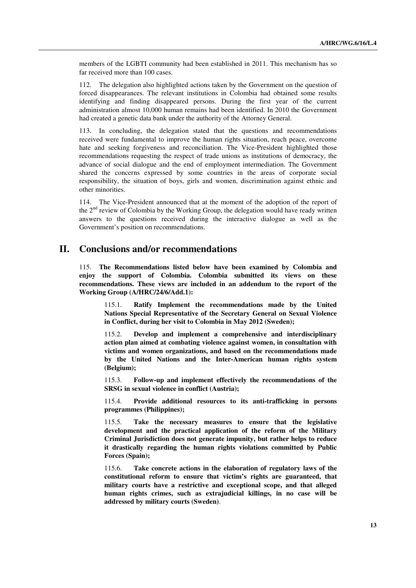members of the LGBTI community had been established in 2011. This mechanism has so far received more than 100 cases.

112. The delegation also highlighted actions taken by the Government on the question of forced disappearances. The relevant institutions in Colombia had obtained some results identifying and finding disappeared persons. During the first year of the current administration almost 10,000 human remains had been identified. In 2010 the Government had created a genetic data bank under the authority of the Attorney General.

113. In concluding, the delegation stated that the questions and recommendations received were fundamental to improve the human rights situation, reach peace, overcome hate and seeking forgiveness and reconciliation. The Vice-President highlighted those recommendations requesting the respect of trade unions as institutions of democracy, the advance of social dialogue and the end of employment intermediation. The Government shared the concerns expressed by some countries in the areas of corporate social responsibility, the situation of boys, girls and women, discrimination against ethnic and other minorities.

114. The Vice-President announced that at the moment of the adoption of the report of the 2<sup>nd</sup> review of Colombia by the Working Group, the delegation would have ready written answers to the questions received during the interactive dialogue as well as the Government's position on recommendations.

## **II. Conclusions and/or recommendations**

115. **The Recommendations listed below have been examined by Colombia and enjoy the support of Colombia. Colombia submitted its views on these recommendations. These views are included in an addendum to the report of the Working Group (A/HRC/24/6/Add.1):**

115.1. **Ratify Implement the recommendations made by the United Nations Special Representative of the Secretary General on Sexual Violence in Conflict, during her visit to Colombia in May 2012 (Sweden);** 

115.2. **Develop and implement a comprehensive and interdisciplinary action plan aimed at combating violence against women, in consultation with victims and women organizations, and based on the recommendations made by the United Nations and the Inter-American human rights system (Belgium);** 

115.3. **Follow-up and implement effectively the recommendations of the SRSG in sexual violence in conflict (Austria);** 

115.4. **Provide additional resources to its anti-trafficking in persons programmes (Philippines);** 

115.5. **Take the necessary measures to ensure that the legislative development and the practical application of the reform of the Military Criminal Jurisdiction does not generate impunity, but rather helps to reduce it drastically regarding the human rights violations committed by Public Forces (Spain);** 

115.6. **Take concrete actions in the elaboration of regulatory laws of the constitutional reform to ensure that victim's rights are guaranteed, that military courts have a restrictive and exceptional scope, and that alleged human rights crimes, such as extrajudicial killings, in no case will be addressed by military courts (Sweden)**.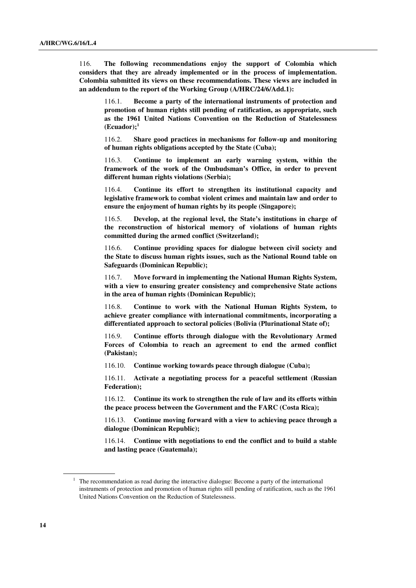116. **The following recommendations enjoy the support of Colombia which considers that they are already implemented or in the process of implementation. Colombia submitted its views on these recommendations. These views are included in an addendum to the report of the Working Group (A/HRC/24/6/Add.1):** 

116.1. **Become a party of the international instruments of protection and promotion of human rights still pending of ratification, as appropriate, such as the 1961 United Nations Convention on the Reduction of Statelessness (Ecuador);<sup>1</sup>**

116.2. **Share good practices in mechanisms for follow-up and monitoring of human rights obligations accepted by the State (Cuba);** 

116.3. **Continue to implement an early warning system, within the framework of the work of the Ombudsman's Office, in order to prevent different human rights violations (Serbia);** 

116.4. **Continue its effort to strengthen its institutional capacity and legislative framework to combat violent crimes and maintain law and order to ensure the enjoyment of human rights by its people (Singapore);** 

116.5. **Develop, at the regional level, the State's institutions in charge of the reconstruction of historical memory of violations of human rights committed during the armed conflict (Switzerland);** 

116.6. **Continue providing spaces for dialogue between civil society and the State to discuss human rights issues, such as the National Round table on Safeguards (Dominican Republic);** 

116.7. **Move forward in implementing the National Human Rights System, with a view to ensuring greater consistency and comprehensive State actions in the area of human rights (Dominican Republic);** 

116.8. **Continue to work with the National Human Rights System, to achieve greater compliance with international commitments, incorporating a differentiated approach to sectoral policies (Bolivia (Plurinational State of);** 

116.9. **Continue efforts through dialogue with the Revolutionary Armed Forces of Colombia to reach an agreement to end the armed conflict (Pakistan);** 

116.10. **Continue working towards peace through dialogue (Cuba);** 

116.11. **Activate a negotiating process for a peaceful settlement (Russian Federation);** 

116.12. **Continue its work to strengthen the rule of law and its efforts within the peace process between the Government and the FARC (Costa Rica);** 

116.13. **Continue moving forward with a view to achieving peace through a dialogue (Dominican Republic);** 

116.14. **Continue with negotiations to end the conflict and to build a stable and lasting peace (Guatemala);** 

 $1$  The recommendation as read during the interactive dialogue: Become a party of the international instruments of protection and promotion of human rights still pending of ratification, such as the 1961 United Nations Convention on the Reduction of Statelessness.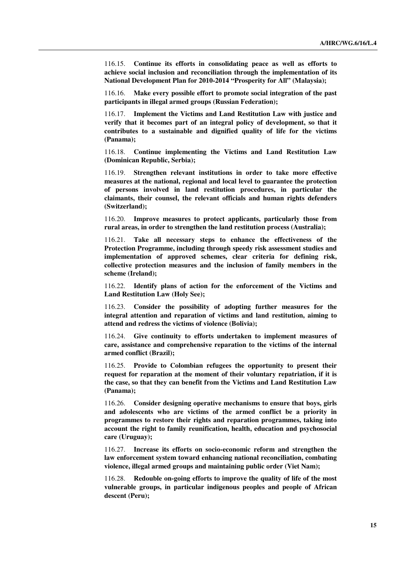116.15. **Continue its efforts in consolidating peace as well as efforts to achieve social inclusion and reconciliation through the implementation of its National Development Plan for 2010-2014 "Prosperity for All" (Malaysia);** 

116.16. **Make every possible effort to promote social integration of the past participants in illegal armed groups (Russian Federation);** 

116.17. **Implement the Victims and Land Restitution Law with justice and verify that it becomes part of an integral policy of development, so that it contributes to a sustainable and dignified quality of life for the victims (Panama);** 

116.18. **Continue implementing the Victims and Land Restitution Law (Dominican Republic, Serbia);** 

116.19. **Strengthen relevant institutions in order to take more effective measures at the national, regional and local level to guarantee the protection of persons involved in land restitution procedures, in particular the claimants, their counsel, the relevant officials and human rights defenders (Switzerland);** 

116.20. **Improve measures to protect applicants, particularly those from rural areas, in order to strengthen the land restitution process (Australia);** 

116.21. **Take all necessary steps to enhance the effectiveness of the Protection Programme, including through speedy risk assessment studies and implementation of approved schemes, clear criteria for defining risk, collective protection measures and the inclusion of family members in the scheme (Ireland);** 

116.22. **Identify plans of action for the enforcement of the Victims and Land Restitution Law (Holy See);** 

116.23. **Consider the possibility of adopting further measures for the integral attention and reparation of victims and land restitution, aiming to attend and redress the victims of violence (Bolivia);** 

116.24. **Give continuity to efforts undertaken to implement measures of care, assistance and comprehensive reparation to the victims of the internal armed conflict (Brazil);** 

116.25. **Provide to Colombian refugees the opportunity to present their request for reparation at the moment of their voluntary repatriation, if it is the case, so that they can benefit from the Victims and Land Restitution Law (Panama);** 

116.26. **Consider designing operative mechanisms to ensure that boys, girls and adolescents who are victims of the armed conflict be a priority in programmes to restore their rights and reparation programmes, taking into account the right to family reunification, health, education and psychosocial care (Uruguay);** 

116.27. **Increase its efforts on socio-economic reform and strengthen the law enforcement system toward enhancing national reconciliation, combating violence, illegal armed groups and maintaining public order (Viet Nam);** 

116.28. **Redouble on-going efforts to improve the quality of life of the most vulnerable groups, in particular indigenous peoples and people of African descent (Peru);**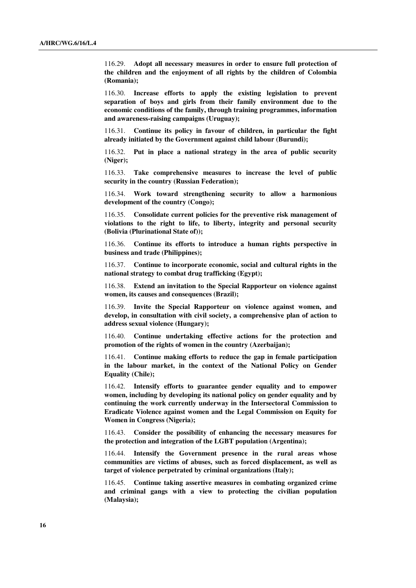116.29. **Adopt all necessary measures in order to ensure full protection of the children and the enjoyment of all rights by the children of Colombia (Romania);** 

116.30. **Increase efforts to apply the existing legislation to prevent separation of boys and girls from their family environment due to the economic conditions of the family, through training programmes, information and awareness-raising campaigns (Uruguay);** 

116.31. **Continue its policy in favour of children, in particular the fight already initiated by the Government against child labour (Burundi);** 

116.32. **Put in place a national strategy in the area of public security (Niger);** 

116.33. **Take comprehensive measures to increase the level of public security in the country (Russian Federation);** 

116.34. **Work toward strengthening security to allow a harmonious development of the country (Congo);** 

116.35. **Consolidate current policies for the preventive risk management of violations to the right to life, to liberty, integrity and personal security (Bolivia (Plurinational State of));** 

116.36. **Continue its efforts to introduce a human rights perspective in business and trade (Philippines);** 

116.37. **Continue to incorporate economic, social and cultural rights in the national strategy to combat drug trafficking (Egypt);** 

116.38. **Extend an invitation to the Special Rapporteur on violence against women, its causes and consequences (Brazil);** 

116.39. **Invite the Special Rapporteur on violence against women, and develop, in consultation with civil society, a comprehensive plan of action to address sexual violence (Hungary);** 

116.40. **Continue undertaking effective actions for the protection and promotion of the rights of women in the country (Azerbaijan);** 

116.41. **Continue making efforts to reduce the gap in female participation in the labour market, in the context of the National Policy on Gender Equality (Chile);** 

116.42. **Intensify efforts to guarantee gender equality and to empower women, including by developing its national policy on gender equality and by continuing the work currently underway in the Intersectoral Commission to Eradicate Violence against women and the Legal Commission on Equity for Women in Congress (Nigeria);** 

116.43. **Consider the possibility of enhancing the necessary measures for the protection and integration of the LGBT population (Argentina);** 

116.44. **Intensify the Government presence in the rural areas whose communities are victims of abuses, such as forced displacement, as well as target of violence perpetrated by criminal organizations (Italy);** 

116.45. **Continue taking assertive measures in combating organized crime and criminal gangs with a view to protecting the civilian population (Malaysia);**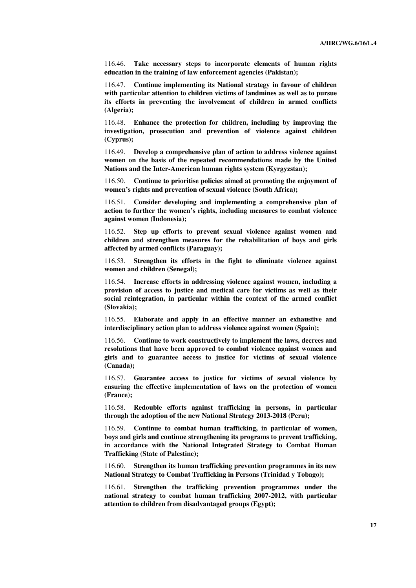116.46. **Take necessary steps to incorporate elements of human rights education in the training of law enforcement agencies (Pakistan);** 

116.47. **Continue implementing its National strategy in favour of children with particular attention to children victims of landmines as well as to pursue its efforts in preventing the involvement of children in armed conflicts (Algeria);** 

116.48. **Enhance the protection for children, including by improving the investigation, prosecution and prevention of violence against children (Cyprus);** 

116.49. **Develop a comprehensive plan of action to address violence against women on the basis of the repeated recommendations made by the United Nations and the Inter-American human rights system (Kyrgyzstan);** 

116.50. **Continue to prioritise policies aimed at promoting the enjoyment of women's rights and prevention of sexual violence (South Africa);** 

116.51. **Consider developing and implementing a comprehensive plan of action to further the women's rights, including measures to combat violence against women (Indonesia);** 

116.52. **Step up efforts to prevent sexual violence against women and children and strengthen measures for the rehabilitation of boys and girls affected by armed conflicts (Paraguay);** 

116.53. **Strengthen its efforts in the fight to eliminate violence against women and children (Senegal);** 

116.54. **Increase efforts in addressing violence against women, including a provision of access to justice and medical care for victims as well as their social reintegration, in particular within the context of the armed conflict (Slovakia);** 

116.55. **Elaborate and apply in an effective manner an exhaustive and interdisciplinary action plan to address violence against women (Spain);** 

116.56. **Continue to work constructively to implement the laws, decrees and resolutions that have been approved to combat violence against women and girls and to guarantee access to justice for victims of sexual violence (Canada);** 

116.57. **Guarantee access to justice for victims of sexual violence by ensuring the effective implementation of laws on the protection of women (France);** 

116.58. **Redouble efforts against trafficking in persons, in particular through the adoption of the new National Strategy 2013-2018 (Peru);** 

116.59. **Continue to combat human trafficking, in particular of women, boys and girls and continue strengthening its programs to prevent trafficking, in accordance with the National Integrated Strategy to Combat Human Trafficking (State of Palestine);** 

116.60. **Strengthen its human trafficking prevention programmes in its new National Strategy to Combat Trafficking in Persons (Trinidad y Tobago);** 

116.61. **Strengthen the trafficking prevention programmes under the national strategy to combat human trafficking 2007-2012, with particular attention to children from disadvantaged groups (Egypt);**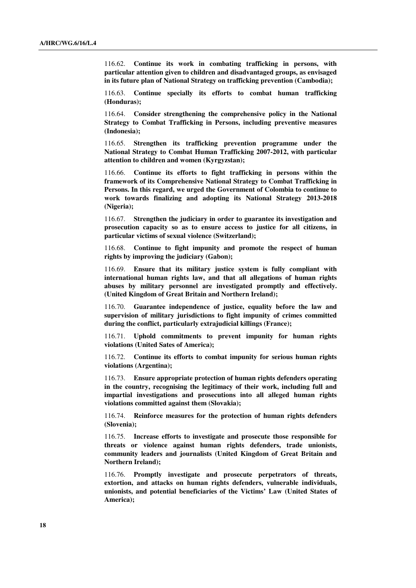116.62. **Continue its work in combating trafficking in persons, with particular attention given to children and disadvantaged groups, as envisaged in its future plan of National Strategy on trafficking prevention (Cambodia);** 

116.63. **Continue specially its efforts to combat human trafficking (Honduras);** 

116.64. **Consider strengthening the comprehensive policy in the National Strategy to Combat Trafficking in Persons, including preventive measures (Indonesia);** 

116.65. **Strengthen its trafficking prevention programme under the National Strategy to Combat Human Trafficking 2007-2012, with particular attention to children and women (Kyrgyzstan);** 

116.66. **Continue its efforts to fight trafficking in persons within the framework of its Comprehensive National Strategy to Combat Trafficking in Persons. In this regard, we urged the Government of Colombia to continue to work towards finalizing and adopting its National Strategy 2013-2018 (Nigeria);** 

116.67. **Strengthen the judiciary in order to guarantee its investigation and prosecution capacity so as to ensure access to justice for all citizens, in particular victims of sexual violence (Switzerland);** 

116.68. **Continue to fight impunity and promote the respect of human rights by improving the judiciary (Gabon);** 

116.69. **Ensure that its military justice system is fully compliant with international human rights law, and that all allegations of human rights abuses by military personnel are investigated promptly and effectively. (United Kingdom of Great Britain and Northern Ireland);** 

116.70. **Guarantee independence of justice, equality before the law and supervision of military jurisdictions to fight impunity of crimes committed during the conflict, particularly extrajudicial killings (France);** 

116.71. **Uphold commitments to prevent impunity for human rights violations (United Sates of America);** 

116.72. **Continue its efforts to combat impunity for serious human rights violations (Argentina);** 

116.73. **Ensure appropriate protection of human rights defenders operating in the country, recognising the legitimacy of their work, including full and impartial investigations and prosecutions into all alleged human rights violations committed against them (Slovakia);** 

116.74. **Reinforce measures for the protection of human rights defenders (Slovenia);** 

116.75. **Increase efforts to investigate and prosecute those responsible for threats or violence against human rights defenders, trade unionists, community leaders and journalists (United Kingdom of Great Britain and Northern Ireland);** 

116.76. **Promptly investigate and prosecute perpetrators of threats, extortion, and attacks on human rights defenders, vulnerable individuals, unionists, and potential beneficiaries of the Victims' Law (United States of America);**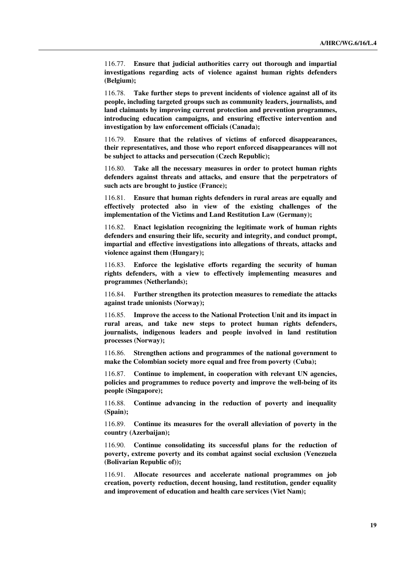116.77. **Ensure that judicial authorities carry out thorough and impartial investigations regarding acts of violence against human rights defenders (Belgium);** 

116.78. **Take further steps to prevent incidents of violence against all of its people, including targeted groups such as community leaders, journalists, and land claimants by improving current protection and prevention programmes, introducing education campaigns, and ensuring effective intervention and investigation by law enforcement officials (Canada);** 

116.79. **Ensure that the relatives of victims of enforced disappearances, their representatives, and those who report enforced disappearances will not be subject to attacks and persecution (Czech Republic);** 

116.80. **Take all the necessary measures in order to protect human rights defenders against threats and attacks, and ensure that the perpetrators of such acts are brought to justice (France);** 

116.81. **Ensure that human rights defenders in rural areas are equally and effectively protected also in view of the existing challenges of the implementation of the Victims and Land Restitution Law (Germany);** 

116.82. **Enact legislation recognizing the legitimate work of human rights defenders and ensuring their life, security and integrity, and conduct prompt, impartial and effective investigations into allegations of threats, attacks and violence against them (Hungary);** 

116.83. **Enforce the legislative efforts regarding the security of human rights defenders, with a view to effectively implementing measures and programmes (Netherlands);** 

116.84. **Further strengthen its protection measures to remediate the attacks against trade unionists (Norway);** 

116.85. **Improve the access to the National Protection Unit and its impact in rural areas, and take new steps to protect human rights defenders, journalists, indigenous leaders and people involved in land restitution processes (Norway);** 

116.86. **Strengthen actions and programmes of the national government to make the Colombian society more equal and free from poverty (Cuba);** 

116.87. **Continue to implement, in cooperation with relevant UN agencies, policies and programmes to reduce poverty and improve the well-being of its people (Singapore);** 

116.88. **Continue advancing in the reduction of poverty and inequality (Spain);** 

116.89. **Continue its measures for the overall alleviation of poverty in the country (Azerbaijan);** 

116.90. **Continue consolidating its successful plans for the reduction of poverty, extreme poverty and its combat against social exclusion (Venezuela (Bolivarian Republic of));** 

116.91. **Allocate resources and accelerate national programmes on job creation, poverty reduction, decent housing, land restitution, gender equality and improvement of education and health care services (Viet Nam);**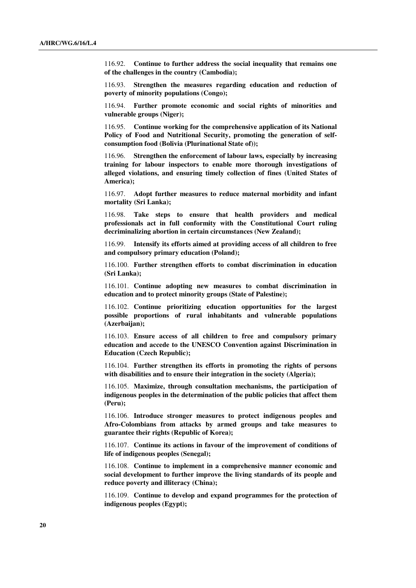116.92. **Continue to further address the social inequality that remains one of the challenges in the country (Cambodia);** 

116.93. **Strengthen the measures regarding education and reduction of poverty of minority populations (Congo);** 

116.94. **Further promote economic and social rights of minorities and vulnerable groups (Niger);** 

116.95. **Continue working for the comprehensive application of its National Policy of Food and Nutritional Security, promoting the generation of selfconsumption food (Bolivia (Plurinational State of));** 

116.96. **Strengthen the enforcement of labour laws, especially by increasing training for labour inspectors to enable more thorough investigations of alleged violations, and ensuring timely collection of fines (United States of America);** 

116.97. **Adopt further measures to reduce maternal morbidity and infant mortality (Sri Lanka);** 

116.98. **Take steps to ensure that health providers and medical professionals act in full conformity with the Constitutional Court ruling decriminalizing abortion in certain circumstances (New Zealand);** 

116.99. **Intensify its efforts aimed at providing access of all children to free and compulsory primary education (Poland);** 

116.100. **Further strengthen efforts to combat discrimination in education (Sri Lanka);** 

116.101. **Continue adopting new measures to combat discrimination in education and to protect minority groups (State of Palestine);** 

116.102. **Continue prioritizing education opportunities for the largest possible proportions of rural inhabitants and vulnerable populations (Azerbaijan);** 

116.103. **Ensure access of all children to free and compulsory primary education and accede to the UNESCO Convention against Discrimination in Education (Czech Republic);** 

116.104. **Further strengthen its efforts in promoting the rights of persons with disabilities and to ensure their integration in the society (Algeria);** 

116.105. **Maximize, through consultation mechanisms, the participation of indigenous peoples in the determination of the public policies that affect them (Peru);** 

116.106. **Introduce stronger measures to protect indigenous peoples and Afro-Colombians from attacks by armed groups and take measures to guarantee their rights (Republic of Korea);** 

116.107. **Continue its actions in favour of the improvement of conditions of life of indigenous peoples (Senegal);** 

116.108. **Continue to implement in a comprehensive manner economic and social development to further improve the living standards of its people and reduce poverty and illiteracy (China);** 

116.109. **Continue to develop and expand programmes for the protection of indigenous peoples (Egypt);**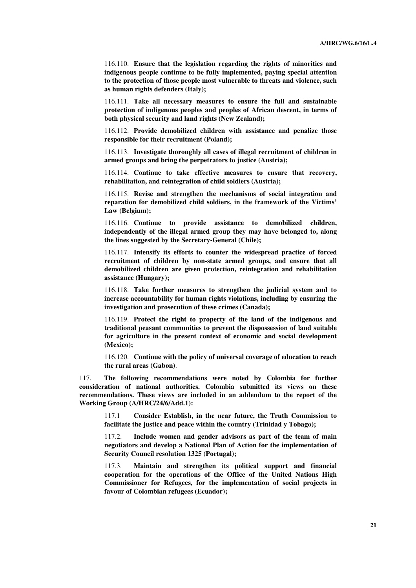116.110. **Ensure that the legislation regarding the rights of minorities and indigenous people continue to be fully implemented, paying special attention to the protection of those people most vulnerable to threats and violence, such as human rights defenders (Italy);** 

116.111. **Take all necessary measures to ensure the full and sustainable protection of indigenous peoples and peoples of African descent, in terms of both physical security and land rights (New Zealand);** 

116.112. **Provide demobilized children with assistance and penalize those responsible for their recruitment (Poland);** 

116.113. **Investigate thoroughly all cases of illegal recruitment of children in armed groups and bring the perpetrators to justice (Austria);** 

116.114. **Continue to take effective measures to ensure that recovery, rehabilitation, and reintegration of child soldiers (Austria);** 

116.115. **Revise and strengthen the mechanisms of social integration and reparation for demobilized child soldiers, in the framework of the Victims' Law (Belgium);** 

116.116. **Continue to provide assistance to demobilized children, independently of the illegal armed group they may have belonged to, along the lines suggested by the Secretary-General (Chile);** 

116.117. **Intensify its efforts to counter the widespread practice of forced recruitment of children by non-state armed groups, and ensure that all demobilized children are given protection, reintegration and rehabilitation assistance (Hungary);** 

116.118. **Take further measures to strengthen the judicial system and to increase accountability for human rights violations, including by ensuring the investigation and prosecution of these crimes (Canada);** 

116.119. **Protect the right to property of the land of the indigenous and traditional peasant communities to prevent the dispossession of land suitable for agriculture in the present context of economic and social development (Mexico);** 

116.120. **Continue with the policy of universal coverage of education to reach the rural areas (Gabon)**.

117. **The following recommendations were noted by Colombia for further consideration of national authorities. Colombia submitted its views on these recommendations. These views are included in an addendum to the report of the Working Group (A/HRC/24/6/Add.1):** 

117.1 **Consider Establish, in the near future, the Truth Commission to facilitate the justice and peace within the country (Trinidad y Tobago);** 

117.2. **Include women and gender advisors as part of the team of main negotiators and develop a National Plan of Action for the implementation of Security Council resolution 1325 (Portugal);** 

117.3. **Maintain and strengthen its political support and financial cooperation for the operations of the Office of the United Nations High Commissioner for Refugees, for the implementation of social projects in favour of Colombian refugees (Ecuador);**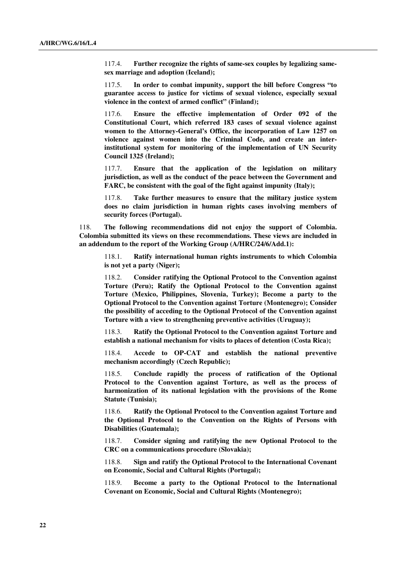117.4. **Further recognize the rights of same-sex couples by legalizing samesex marriage and adoption (Iceland);** 

117.5. **In order to combat impunity, support the bill before Congress "to guarantee access to justice for victims of sexual violence, especially sexual violence in the context of armed conflict" (Finland);** 

117.6. **Ensure the effective implementation of Order 092 of the Constitutional Court, which referred 183 cases of sexual violence against women to the Attorney-General's Office, the incorporation of Law 1257 on violence against women into the Criminal Code, and create an interinstitutional system for monitoring of the implementation of UN Security Council 1325 (Ireland);** 

117.7. **Ensure that the application of the legislation on military jurisdiction, as well as the conduct of the peace between the Government and FARC, be consistent with the goal of the fight against impunity (Italy);** 

117.8. **Take further measures to ensure that the military justice system does no claim jurisdiction in human rights cases involving members of security forces (Portugal).** 

118. **The following recommendations did not enjoy the support of Colombia. Colombia submitted its views on these recommendations. These views are included in an addendum to the report of the Working Group (A/HRC/24/6/Add.1):** 

118.1. **Ratify international human rights instruments to which Colombia is not yet a party (Niger);** 

118.2. **Consider ratifying the Optional Protocol to the Convention against Torture (Peru); Ratify the Optional Protocol to the Convention against Torture (Mexico, Philippines, Slovenia, Turkey); Become a party to the Optional Protocol to the Convention against Torture (Montenegro); Consider the possibility of acceding to the Optional Protocol of the Convention against Torture with a view to strengthening preventive activities (Uruguay);** 

118.3. **Ratify the Optional Protocol to the Convention against Torture and establish a national mechanism for visits to places of detention (Costa Rica);** 

118.4. **Accede to OP-CAT and establish the national preventive mechanism accordingly (Czech Republic);** 

118.5. **Conclude rapidly the process of ratification of the Optional Protocol to the Convention against Torture, as well as the process of harmonization of its national legislation with the provisions of the Rome Statute (Tunisia);** 

118.6. **Ratify the Optional Protocol to the Convention against Torture and the Optional Protocol to the Convention on the Rights of Persons with Disabilities (Guatemala);** 

118.7. **Consider signing and ratifying the new Optional Protocol to the CRC on a communications procedure (Slovakia);** 

118.8. **Sign and ratify the Optional Protocol to the International Covenant on Economic, Social and Cultural Rights (Portugal);**

118.9. **Become a party to the Optional Protocol to the International Covenant on Economic, Social and Cultural Rights (Montenegro);**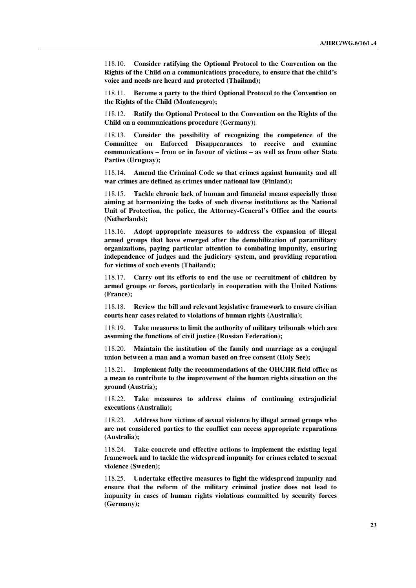118.10. **Consider ratifying the Optional Protocol to the Convention on the Rights of the Child on a communications procedure, to ensure that the child's voice and needs are heard and protected (Thailand);**

118.11. **Become a party to the third Optional Protocol to the Convention on the Rights of the Child (Montenegro);** 

118.12. **Ratify the Optional Protocol to the Convention on the Rights of the Child on a communications procedure (Germany);** 

118.13. **Consider the possibility of recognizing the competence of the Committee on Enforced Disappearances to receive and examine communications – from or in favour of victims – as well as from other State Parties (Uruguay);** 

118.14. **Amend the Criminal Code so that crimes against humanity and all war crimes are defined as crimes under national law (Finland);** 

118.15. **Tackle chronic lack of human and financial means especially those aiming at harmonizing the tasks of such diverse institutions as the National Unit of Protection, the police, the Attorney-General's Office and the courts (Netherlands);** 

118.16. **Adopt appropriate measures to address the expansion of illegal armed groups that have emerged after the demobilization of paramilitary organizations, paying particular attention to combating impunity, ensuring independence of judges and the judiciary system, and providing reparation for victims of such events (Thailand);** 

118.17. **Carry out its efforts to end the use or recruitment of children by armed groups or forces, particularly in cooperation with the United Nations (France);** 

118.18. **Review the bill and relevant legislative framework to ensure civilian courts hear cases related to violations of human rights (Australia);** 

118.19. **Take measures to limit the authority of military tribunals which are assuming the functions of civil justice (Russian Federation);** 

118.20. **Maintain the institution of the family and marriage as a conjugal union between a man and a woman based on free consent (Holy See);** 

118.21. **Implement fully the recommendations of the OHCHR field office as a mean to contribute to the improvement of the human rights situation on the ground (Austria);** 

118.22. **Take measures to address claims of continuing extrajudicial executions (Australia);** 

118.23. **Address how victims of sexual violence by illegal armed groups who are not considered parties to the conflict can access appropriate reparations (Australia);** 

118.24. **Take concrete and effective actions to implement the existing legal framework and to tackle the widespread impunity for crimes related to sexual violence (Sweden);** 

118.25. **Undertake effective measures to fight the widespread impunity and ensure that the reform of the military criminal justice does not lead to impunity in cases of human rights violations committed by security forces (Germany);**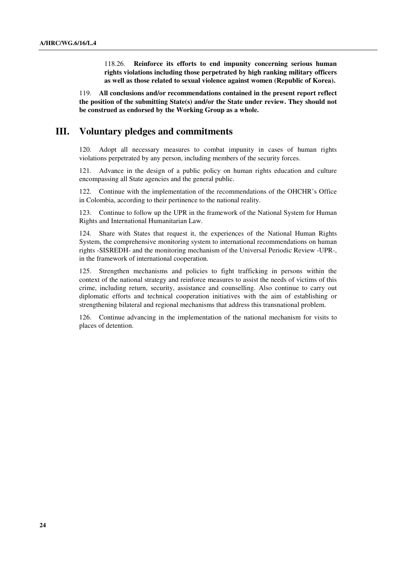118.26. **Reinforce its efforts to end impunity concerning serious human rights violations including those perpetrated by high ranking military officers as well as those related to sexual violence against women (Republic of Korea).** 

119. **All conclusions and/or recommendations contained in the present report reflect the position of the submitting State(s) and/or the State under review. They should not be construed as endorsed by the Working Group as a whole.**

## **III. Voluntary pledges and commitments**

120. Adopt all necessary measures to combat impunity in cases of human rights violations perpetrated by any person, including members of the security forces.

121. Advance in the design of a public policy on human rights education and culture encompassing all State agencies and the general public.

122. Continue with the implementation of the recommendations of the OHCHR's Office in Colombia, according to their pertinence to the national reality.

123. Continue to follow up the UPR in the framework of the National System for Human Rights and International Humanitarian Law.

124. Share with States that request it, the experiences of the National Human Rights System, the comprehensive monitoring system to international recommendations on human rights -SISREDH- and the monitoring mechanism of the Universal Periodic Review -UPR-, in the framework of international cooperation.

125. Strengthen mechanisms and policies to fight trafficking in persons within the context of the national strategy and reinforce measures to assist the needs of victims of this crime, including return, security, assistance and counselling. Also continue to carry out diplomatic efforts and technical cooperation initiatives with the aim of establishing or strengthening bilateral and regional mechanisms that address this transnational problem.

126. Continue advancing in the implementation of the national mechanism for visits to places of detention.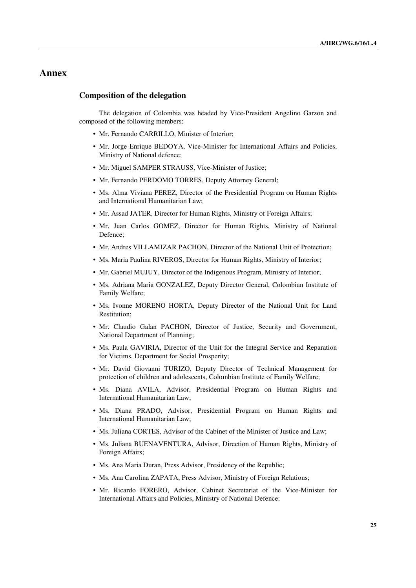# **Annex**

#### **Composition of the delegation**

The delegation of Colombia was headed by Vice-President Angelino Garzon and composed of the following members:

- Mr. Fernando CARRILLO, Minister of Interior;
- Mr. Jorge Enrique BEDOYA, Vice-Minister for International Affairs and Policies, Ministry of National defence;
- Mr. Miguel SAMPER STRAUSS, Vice-Minister of Justice;
- Mr. Fernando PERDOMO TORRES, Deputy Attorney General;
- Ms. Alma Viviana PEREZ, Director of the Presidential Program on Human Rights and International Humanitarian Law;
- Mr. Assad JATER, Director for Human Rights, Ministry of Foreign Affairs;
- Mr. Juan Carlos GOMEZ, Director for Human Rights, Ministry of National Defence;
- Mr. Andres VILLAMIZAR PACHON, Director of the National Unit of Protection;
- Ms. Maria Paulina RIVEROS, Director for Human Rights, Ministry of Interior;
- Mr. Gabriel MUJUY, Director of the Indigenous Program, Ministry of Interior;
- Ms. Adriana Maria GONZALEZ, Deputy Director General, Colombian Institute of Family Welfare;
- Ms. Ivonne MORENO HORTA, Deputy Director of the National Unit for Land Restitution;
- Mr. Claudio Galan PACHON, Director of Justice, Security and Government, National Department of Planning;
- Ms. Paula GAVIRIA, Director of the Unit for the Integral Service and Reparation for Victims, Department for Social Prosperity;
- Mr. David Giovanni TURIZO, Deputy Director of Technical Management for protection of children and adolescents, Colombian Institute of Family Welfare;
- Ms. Diana AVILA, Advisor, Presidential Program on Human Rights and International Humanitarian Law;
- Ms. Diana PRADO, Advisor, Presidential Program on Human Rights and International Humanitarian Law;
- Ms. Juliana CORTES, Advisor of the Cabinet of the Minister of Justice and Law;
- Ms. Juliana BUENAVENTURA, Advisor, Direction of Human Rights, Ministry of Foreign Affairs;
- Ms. Ana Maria Duran, Press Advisor, Presidency of the Republic;
- Ms. Ana Carolina ZAPATA, Press Advisor, Ministry of Foreign Relations;
- Mr. Ricardo FORERO, Advisor, Cabinet Secretariat of the Vice-Minister for International Affairs and Policies, Ministry of National Defence;